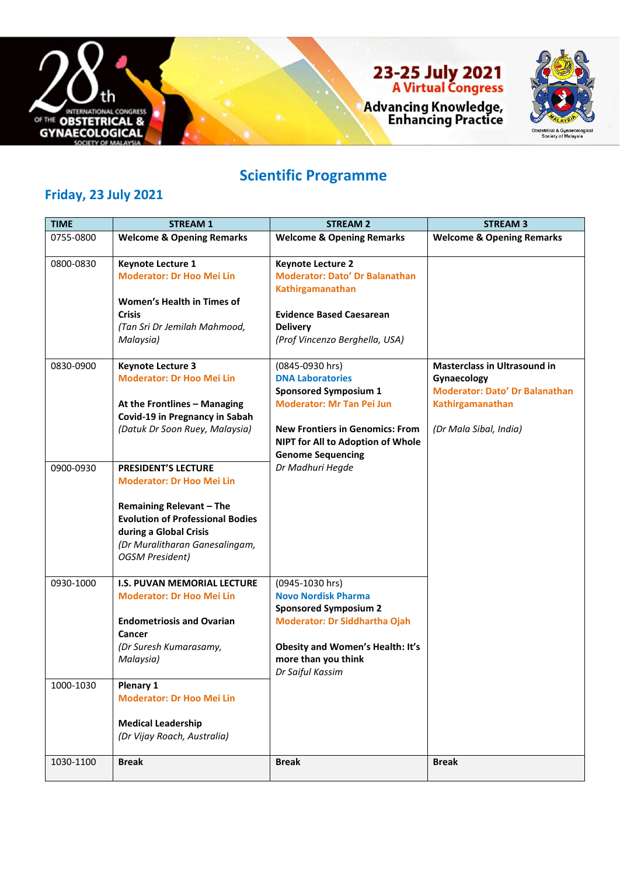

# 23-25 July 2021<br>A Virtual Congress



Advancing Knowledge,<br>Enhancing Practice

### **Scientific Programme**

#### **Friday, 23 July 2021**

| <b>TIME</b> | <b>STREAM 1</b>                                                                                                                                                                                                                    | <b>STREAM 2</b>                                                                                                                                                                                                           | <b>STREAM 3</b>                                                                                                                           |
|-------------|------------------------------------------------------------------------------------------------------------------------------------------------------------------------------------------------------------------------------------|---------------------------------------------------------------------------------------------------------------------------------------------------------------------------------------------------------------------------|-------------------------------------------------------------------------------------------------------------------------------------------|
| 0755-0800   | <b>Welcome &amp; Opening Remarks</b>                                                                                                                                                                                               | <b>Welcome &amp; Opening Remarks</b>                                                                                                                                                                                      | <b>Welcome &amp; Opening Remarks</b>                                                                                                      |
| 0800-0830   | <b>Keynote Lecture 1</b><br><b>Moderator: Dr Hoo Mei Lin</b><br>Women's Health in Times of<br><b>Crisis</b><br>(Tan Sri Dr Jemilah Mahmood,<br>Malaysia)                                                                           | <b>Keynote Lecture 2</b><br><b>Moderator: Dato' Dr Balanathan</b><br>Kathirgamanathan<br><b>Evidence Based Caesarean</b><br><b>Delivery</b><br>(Prof Vincenzo Berghella, USA)                                             |                                                                                                                                           |
| 0830-0900   | <b>Keynote Lecture 3</b><br><b>Moderator: Dr Hoo Mei Lin</b><br>At the Frontlines - Managing<br>Covid-19 in Pregnancy in Sabah<br>(Datuk Dr Soon Ruey, Malaysia)                                                                   | (0845-0930 hrs)<br><b>DNA Laboratories</b><br><b>Sponsored Symposium 1</b><br><b>Moderator: Mr Tan Pei Jun</b><br><b>New Frontiers in Genomics: From</b><br>NIPT for All to Adoption of Whole<br><b>Genome Sequencing</b> | <b>Masterclass in Ultrasound in</b><br>Gynaecology<br><b>Moderator: Dato' Dr Balanathan</b><br>Kathirgamanathan<br>(Dr Mala Sibal, India) |
| 0900-0930   | <b>PRESIDENT'S LECTURE</b><br><b>Moderator: Dr Hoo Mei Lin</b><br><b>Remaining Relevant - The</b><br><b>Evolution of Professional Bodies</b><br>during a Global Crisis<br>(Dr Muralitharan Ganesalingam,<br><b>OGSM President)</b> | Dr Madhuri Hegde                                                                                                                                                                                                          |                                                                                                                                           |
| 0930-1000   | <b>I.S. PUVAN MEMORIAL LECTURE</b><br><b>Moderator: Dr Hoo Mei Lin</b><br><b>Endometriosis and Ovarian</b><br>Cancer<br>(Dr Suresh Kumarasamy,<br>Malaysia)                                                                        | (0945-1030 hrs)<br><b>Novo Nordisk Pharma</b><br><b>Sponsored Symposium 2</b><br><b>Moderator: Dr Siddhartha Ojah</b><br><b>Obesity and Women's Health: It's</b><br>more than you think<br>Dr Saiful Kassim               |                                                                                                                                           |
| 1000-1030   | <b>Plenary 1</b><br><b>Moderator: Dr Hoo Mei Lin</b><br><b>Medical Leadership</b><br>(Dr Vijay Roach, Australia)                                                                                                                   |                                                                                                                                                                                                                           |                                                                                                                                           |
| 1030-1100   | <b>Break</b>                                                                                                                                                                                                                       | <b>Break</b>                                                                                                                                                                                                              | <b>Break</b>                                                                                                                              |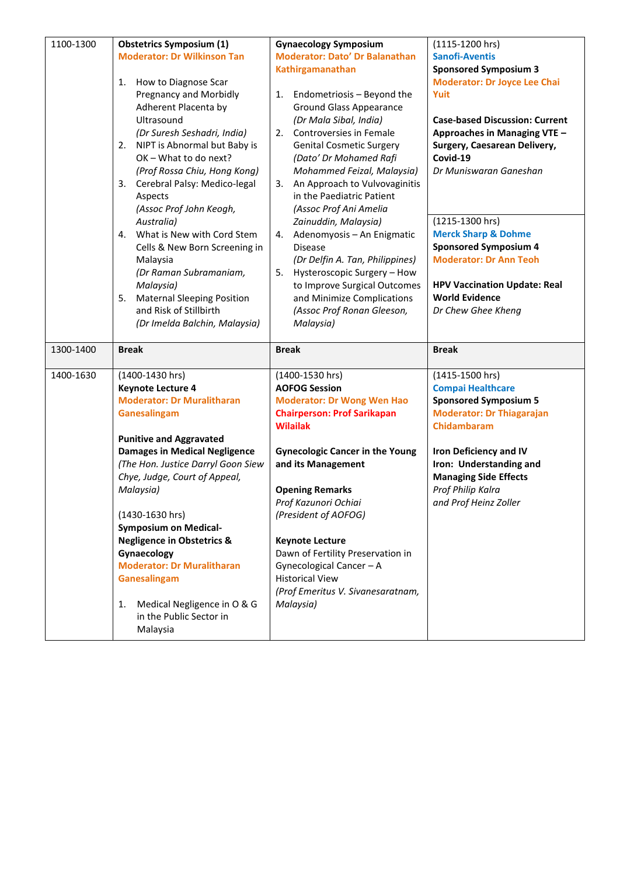| 1100-1300 | <b>Obstetrics Symposium (1)</b>         | <b>Gynaecology Symposium</b>           | (1115-1200 hrs)                       |
|-----------|-----------------------------------------|----------------------------------------|---------------------------------------|
|           | <b>Moderator: Dr Wilkinson Tan</b>      | <b>Moderator: Dato' Dr Balanathan</b>  | <b>Sanofi-Aventis</b>                 |
|           |                                         | Kathirgamanathan                       | <b>Sponsored Symposium 3</b>          |
|           | 1.<br>How to Diagnose Scar              |                                        | <b>Moderator: Dr Joyce Lee Chai</b>   |
|           | Pregnancy and Morbidly                  | Endometriosis - Beyond the<br>1.       | Yuit                                  |
|           | Adherent Placenta by                    | <b>Ground Glass Appearance</b>         |                                       |
|           | Ultrasound                              | (Dr Mala Sibal, India)                 | <b>Case-based Discussion: Current</b> |
|           | (Dr Suresh Seshadri, India)             | Controversies in Female<br>2.          | Approaches in Managing VTE -          |
|           | NIPT is Abnormal but Baby is<br>2.      | <b>Genital Cosmetic Surgery</b>        | Surgery, Caesarean Delivery,          |
|           | OK - What to do next?                   | (Dato' Dr Mohamed Rafi                 | Covid-19                              |
|           | (Prof Rossa Chiu, Hong Kong)            | Mohammed Feizal, Malaysia)             | Dr Muniswaran Ganeshan                |
|           | Cerebral Palsy: Medico-legal<br>3.      | An Approach to Vulvovaginitis<br>3.    |                                       |
|           |                                         | in the Paediatric Patient              |                                       |
|           | Aspects                                 |                                        |                                       |
|           | (Assoc Prof John Keogh,                 | (Assoc Prof Ani Amelia                 |                                       |
|           | Australia)                              | Zainuddin, Malaysia)                   | (1215-1300 hrs)                       |
|           | What is New with Cord Stem<br>4.        | Adenomyosis - An Enigmatic<br>4.       | <b>Merck Sharp &amp; Dohme</b>        |
|           | Cells & New Born Screening in           | <b>Disease</b>                         | <b>Sponsored Symposium 4</b>          |
|           | Malaysia                                | (Dr Delfin A. Tan, Philippines)        | <b>Moderator: Dr Ann Teoh</b>         |
|           | (Dr Raman Subramaniam,                  | 5.<br>Hysteroscopic Surgery - How      |                                       |
|           | Malaysia)                               | to Improve Surgical Outcomes           | <b>HPV Vaccination Update: Real</b>   |
|           | <b>Maternal Sleeping Position</b><br>5. | and Minimize Complications             | <b>World Evidence</b>                 |
|           | and Risk of Stillbirth                  | (Assoc Prof Ronan Gleeson,             | Dr Chew Ghee Kheng                    |
|           | (Dr Imelda Balchin, Malaysia)           | Malaysia)                              |                                       |
|           |                                         |                                        |                                       |
|           |                                         |                                        |                                       |
| 1300-1400 | <b>Break</b>                            | <b>Break</b>                           | <b>Break</b>                          |
|           |                                         |                                        |                                       |
| 1400-1630 | (1400-1430 hrs)                         | (1400-1530 hrs)                        | (1415-1500 hrs)                       |
|           | <b>Keynote Lecture 4</b>                | <b>AOFOG Session</b>                   | <b>Compai Healthcare</b>              |
|           | <b>Moderator: Dr Muralitharan</b>       | <b>Moderator: Dr Wong Wen Hao</b>      | <b>Sponsored Symposium 5</b>          |
|           | Ganesalingam                            | <b>Chairperson: Prof Sarikapan</b>     | <b>Moderator: Dr Thiagarajan</b>      |
|           |                                         | <b>Wilailak</b>                        | Chidambaram                           |
|           | <b>Punitive and Aggravated</b>          |                                        |                                       |
|           | <b>Damages in Medical Negligence</b>    | <b>Gynecologic Cancer in the Young</b> | <b>Iron Deficiency and IV</b>         |
|           | (The Hon. Justice Darryl Goon Siew      | and its Management                     | Iron: Understanding and               |
|           | Chye, Judge, Court of Appeal,           |                                        | <b>Managing Side Effects</b>          |
|           | Malaysia)                               | <b>Opening Remarks</b>                 | Prof Philip Kalra                     |
|           |                                         | Prof Kazunori Ochiai                   | and Prof Heinz Zoller                 |
|           | (1430-1630 hrs)                         | (President of AOFOG)                   |                                       |
|           | <b>Symposium on Medical-</b>            |                                        |                                       |
|           | <b>Negligence in Obstetrics &amp;</b>   | <b>Keynote Lecture</b>                 |                                       |
|           | Gynaecology                             | Dawn of Fertility Preservation in      |                                       |
|           | <b>Moderator: Dr Muralitharan</b>       | Gynecological Cancer - A               |                                       |
|           | Ganesalingam                            | <b>Historical View</b>                 |                                       |
|           |                                         | (Prof Emeritus V. Sivanesaratnam,      |                                       |
|           | Medical Negligence in O & G<br>1.       | Malaysia)                              |                                       |
|           | in the Public Sector in<br>Malaysia     |                                        |                                       |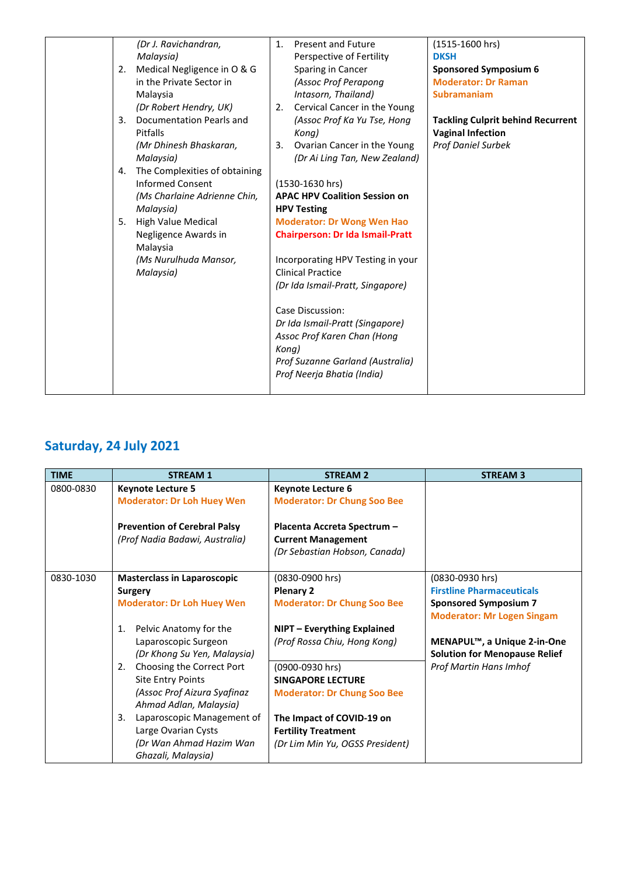|    | (Dr J. Ravichandran,          | 1.    | <b>Present and Future</b>               | (1515-1600 hrs)                          |
|----|-------------------------------|-------|-----------------------------------------|------------------------------------------|
|    | Malaysia)                     |       | Perspective of Fertility                | <b>DKSH</b>                              |
| 2. | Medical Negligence in O & G   |       | Sparing in Cancer                       | <b>Sponsored Symposium 6</b>             |
|    | in the Private Sector in      |       | (Assoc Prof Perapong                    | <b>Moderator: Dr Raman</b>               |
|    | Malaysia                      |       | Intasorn, Thailand)                     | <b>Subramaniam</b>                       |
|    | (Dr Robert Hendry, UK)        | 2.    | Cervical Cancer in the Young            |                                          |
| 3. | Documentation Pearls and      |       | (Assoc Prof Ka Yu Tse, Hong             | <b>Tackling Culprit behind Recurrent</b> |
|    | Pitfalls                      |       | Kona)                                   | <b>Vaginal Infection</b>                 |
|    | (Mr Dhinesh Bhaskaran,        | 3.    | Ovarian Cancer in the Young             | <b>Prof Daniel Surbek</b>                |
|    | Malaysia)                     |       | (Dr Ai Ling Tan, New Zealand)           |                                          |
| 4. | The Complexities of obtaining |       |                                         |                                          |
|    | <b>Informed Consent</b>       |       | (1530-1630 hrs)                         |                                          |
|    | (Ms Charlaine Adrienne Chin,  |       | <b>APAC HPV Coalition Session on</b>    |                                          |
|    | Malaysia)                     |       | <b>HPV Testing</b>                      |                                          |
| 5. | <b>High Value Medical</b>     |       | <b>Moderator: Dr Wong Wen Hao</b>       |                                          |
|    | Negligence Awards in          |       | <b>Chairperson: Dr Ida Ismail-Pratt</b> |                                          |
|    | Malaysia                      |       |                                         |                                          |
|    | (Ms Nurulhuda Mansor,         |       | Incorporating HPV Testing in your       |                                          |
|    | Malaysia)                     |       | <b>Clinical Practice</b>                |                                          |
|    |                               |       | (Dr Ida Ismail-Pratt, Singapore)        |                                          |
|    |                               |       |                                         |                                          |
|    |                               |       | Case Discussion:                        |                                          |
|    |                               |       | Dr Ida Ismail-Pratt (Singapore)         |                                          |
|    |                               |       | Assoc Prof Karen Chan (Hong             |                                          |
|    |                               | Kong) |                                         |                                          |
|    |                               |       | Prof Suzanne Garland (Australia)        |                                          |
|    |                               |       | Prof Neerja Bhatia (India)              |                                          |
|    |                               |       |                                         |                                          |
|    |                               |       |                                         |                                          |

## **Saturday, 24 July 2021**

| <b>TIME</b> | <b>STREAM 1</b>                          | <b>STREAM 2</b>                    | <b>STREAM 3</b>                          |
|-------------|------------------------------------------|------------------------------------|------------------------------------------|
| 0800-0830   | <b>Keynote Lecture 5</b>                 | <b>Keynote Lecture 6</b>           |                                          |
|             | <b>Moderator: Dr Loh Huey Wen</b>        | <b>Moderator: Dr Chung Soo Bee</b> |                                          |
|             | <b>Prevention of Cerebral Palsy</b>      | Placenta Accreta Spectrum -        |                                          |
|             | (Prof Nadia Badawi, Australia)           | <b>Current Management</b>          |                                          |
|             |                                          | (Dr Sebastian Hobson, Canada)      |                                          |
| 0830-1030   | <b>Masterclass in Laparoscopic</b>       | (0830-0900 hrs)                    | (0830-0930 hrs)                          |
|             | Surgery                                  | <b>Plenary 2</b>                   | <b>Firstline Pharmaceuticals</b>         |
|             | <b>Moderator: Dr Loh Huey Wen</b>        | <b>Moderator: Dr Chung Soo Bee</b> | <b>Sponsored Symposium 7</b>             |
|             |                                          |                                    | <b>Moderator: Mr Logen Singam</b>        |
|             | Pelvic Anatomy for the<br>$\mathbf{1}$ . | NIPT - Everything Explained        |                                          |
|             | Laparoscopic Surgeon                     | (Prof Rossa Chiu, Hong Kong)       | MENAPUL <sup>™</sup> , a Unique 2-in-One |
|             | (Dr Khong Su Yen, Malaysia)              |                                    | <b>Solution for Menopause Relief</b>     |
|             | Choosing the Correct Port<br>2.          | (0900-0930 hrs)                    | <b>Prof Martin Hans Imhof</b>            |
|             | <b>Site Entry Points</b>                 | <b>SINGAPORE LECTURE</b>           |                                          |
|             | (Assoc Prof Aizura Syafinaz              | <b>Moderator: Dr Chung Soo Bee</b> |                                          |
|             | Ahmad Adlan, Malaysia)                   |                                    |                                          |
|             | Laparoscopic Management of<br>3.         | The Impact of COVID-19 on          |                                          |
|             | Large Ovarian Cysts                      | <b>Fertility Treatment</b>         |                                          |
|             | (Dr Wan Ahmad Hazim Wan                  | (Dr Lim Min Yu, OGSS President)    |                                          |
|             | Ghazali, Malaysia)                       |                                    |                                          |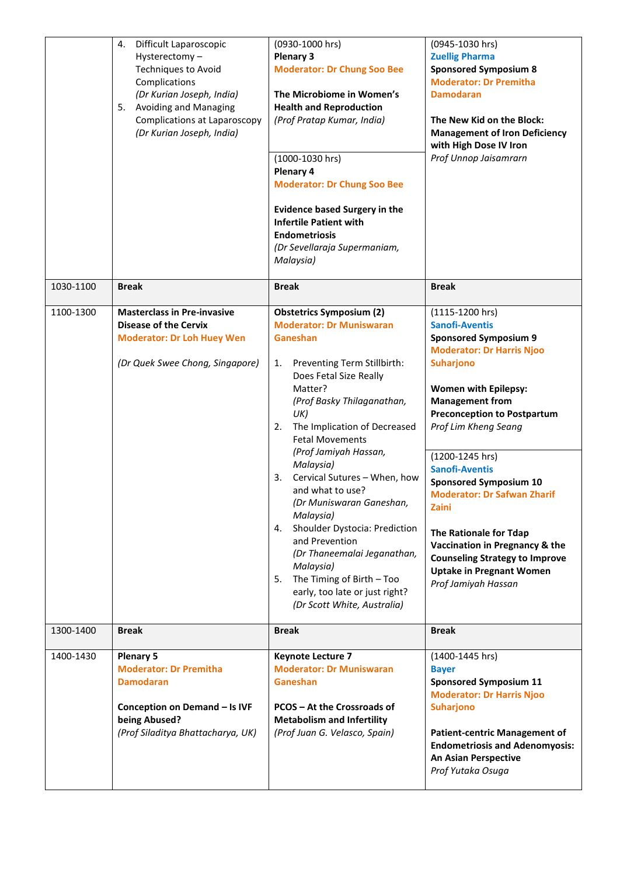|           | 4.<br>Difficult Laparoscopic<br>Hysterectomy-<br><b>Techniques to Avoid</b><br>Complications<br>(Dr Kurian Joseph, India)<br><b>Avoiding and Managing</b><br>5.<br><b>Complications at Laparoscopy</b><br>(Dr Kurian Joseph, India) | (0930-1000 hrs)<br><b>Plenary 3</b><br><b>Moderator: Dr Chung Soo Bee</b><br>The Microbiome in Women's<br><b>Health and Reproduction</b><br>(Prof Pratap Kumar, India)<br>(1000-1030 hrs)<br>Plenary 4<br><b>Moderator: Dr Chung Soo Bee</b><br><b>Evidence based Surgery in the</b><br><b>Infertile Patient with</b><br><b>Endometriosis</b><br>(Dr Sevellaraja Supermaniam,<br>Malaysia)                                                                                                                                                                                                                      | (0945-1030 hrs)<br><b>Zuellig Pharma</b><br><b>Sponsored Symposium 8</b><br><b>Moderator: Dr Premitha</b><br><b>Damodaran</b><br>The New Kid on the Block:<br><b>Management of Iron Deficiency</b><br>with High Dose IV Iron<br>Prof Unnop Jaisamrarn                                                                                                                                                                                                                                                                                                |
|-----------|-------------------------------------------------------------------------------------------------------------------------------------------------------------------------------------------------------------------------------------|-----------------------------------------------------------------------------------------------------------------------------------------------------------------------------------------------------------------------------------------------------------------------------------------------------------------------------------------------------------------------------------------------------------------------------------------------------------------------------------------------------------------------------------------------------------------------------------------------------------------|------------------------------------------------------------------------------------------------------------------------------------------------------------------------------------------------------------------------------------------------------------------------------------------------------------------------------------------------------------------------------------------------------------------------------------------------------------------------------------------------------------------------------------------------------|
| 1030-1100 | <b>Break</b>                                                                                                                                                                                                                        | <b>Break</b>                                                                                                                                                                                                                                                                                                                                                                                                                                                                                                                                                                                                    | <b>Break</b>                                                                                                                                                                                                                                                                                                                                                                                                                                                                                                                                         |
| 1100-1300 | <b>Masterclass in Pre-invasive</b><br><b>Disease of the Cervix</b><br><b>Moderator: Dr Loh Huey Wen</b><br>(Dr Quek Swee Chong, Singapore)                                                                                          | <b>Obstetrics Symposium (2)</b><br><b>Moderator: Dr Muniswaran</b><br>Ganeshan<br>Preventing Term Stillbirth:<br>1.<br>Does Fetal Size Really<br>Matter?<br>(Prof Basky Thilaganathan,<br>UK)<br>The Implication of Decreased<br>2.<br><b>Fetal Movements</b><br>(Prof Jamiyah Hassan,<br>Malaysia)<br>Cervical Sutures - When, how<br>3.<br>and what to use?<br>(Dr Muniswaran Ganeshan,<br>Malaysia)<br>Shoulder Dystocia: Prediction<br>4.<br>and Prevention<br>(Dr Thaneemalai Jeganathan,<br>Malaysia)<br>The Timing of Birth - Too<br>5.<br>early, too late or just right?<br>(Dr Scott White, Australia) | $(1115-1200$ hrs)<br><b>Sanofi-Aventis</b><br><b>Sponsored Symposium 9</b><br><b>Moderator: Dr Harris Njoo</b><br><b>Suharjono</b><br><b>Women with Epilepsy:</b><br><b>Management from</b><br><b>Preconception to Postpartum</b><br>Prof Lim Kheng Seang<br>(1200-1245 hrs)<br><b>Sanofi-Aventis</b><br><b>Sponsored Symposium 10</b><br><b>Moderator: Dr Safwan Zharif</b><br>Zaini<br>The Rationale for Tdap<br>Vaccination in Pregnancy & the<br><b>Counseling Strategy to Improve</b><br><b>Uptake in Pregnant Women</b><br>Prof Jamiyah Hassan |
| 1300-1400 | <b>Break</b>                                                                                                                                                                                                                        | <b>Break</b>                                                                                                                                                                                                                                                                                                                                                                                                                                                                                                                                                                                                    | <b>Break</b>                                                                                                                                                                                                                                                                                                                                                                                                                                                                                                                                         |
| 1400-1430 | <b>Plenary 5</b><br><b>Moderator: Dr Premitha</b><br><b>Damodaran</b><br>Conception on Demand - Is IVF<br>being Abused?<br>(Prof Siladitya Bhattacharya, UK)                                                                        | <b>Keynote Lecture 7</b><br><b>Moderator: Dr Muniswaran</b><br>Ganeshan<br>PCOS - At the Crossroads of<br><b>Metabolism and Infertility</b><br>(Prof Juan G. Velasco, Spain)                                                                                                                                                                                                                                                                                                                                                                                                                                    | (1400-1445 hrs)<br><b>Bayer</b><br><b>Sponsored Symposium 11</b><br><b>Moderator: Dr Harris Njoo</b><br><b>Suharjono</b><br><b>Patient-centric Management of</b><br><b>Endometriosis and Adenomyosis:</b><br>An Asian Perspective<br>Prof Yutaka Osuga                                                                                                                                                                                                                                                                                               |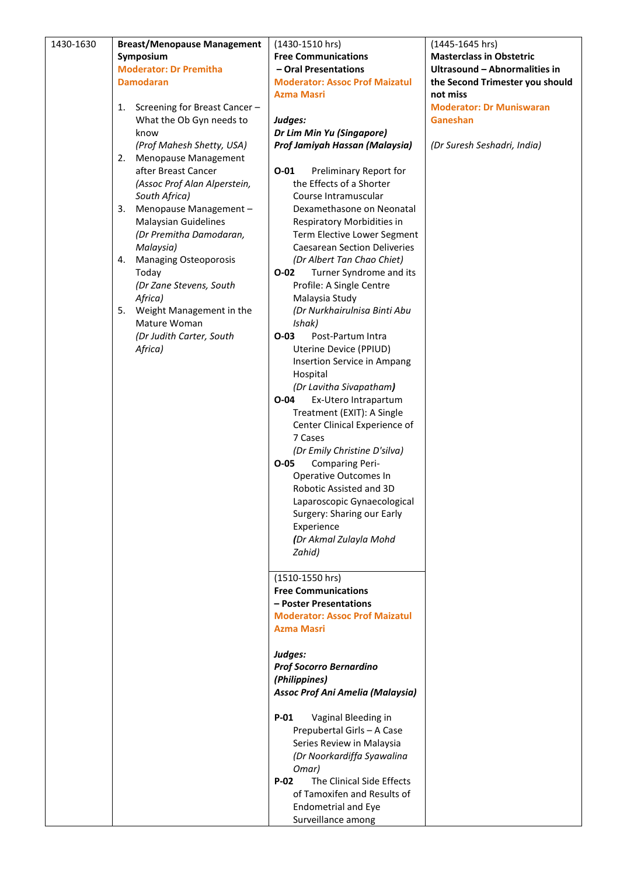| 1430-1630 | <b>Breast/Menopause Management</b>            | $(1430 - 1510)$ hrs)                                            | (1445-1645 hrs)                             |
|-----------|-----------------------------------------------|-----------------------------------------------------------------|---------------------------------------------|
|           | Symposium                                     | <b>Free Communications</b>                                      | <b>Masterclass in Obstetric</b>             |
|           | <b>Moderator: Dr Premitha</b>                 | - Oral Presentations                                            | Ultrasound - Abnormalities in               |
|           | <b>Damodaran</b>                              | <b>Moderator: Assoc Prof Maizatul</b><br><b>Azma Masri</b>      | the Second Trimester you should<br>not miss |
|           | Screening for Breast Cancer-<br>1.            |                                                                 | <b>Moderator: Dr Muniswaran</b>             |
|           | What the Ob Gyn needs to                      | Judges:                                                         | Ganeshan                                    |
|           | know                                          | Dr Lim Min Yu (Singapore)                                       |                                             |
|           | (Prof Mahesh Shetty, USA)                     | Prof Jamiyah Hassan (Malaysia)                                  | (Dr Suresh Seshadri, India)                 |
|           | Menopause Management<br>2.                    |                                                                 |                                             |
|           | after Breast Cancer                           | $O - 01$<br>Preliminary Report for                              |                                             |
|           | (Assoc Prof Alan Alperstein,                  | the Effects of a Shorter                                        |                                             |
|           | South Africa)<br>Menopause Management -<br>3. | Course Intramuscular<br>Dexamethasone on Neonatal               |                                             |
|           | <b>Malaysian Guidelines</b>                   | Respiratory Morbidities in                                      |                                             |
|           | (Dr Premitha Damodaran,                       | Term Elective Lower Segment                                     |                                             |
|           | Malaysia)                                     | <b>Caesarean Section Deliveries</b>                             |                                             |
|           | <b>Managing Osteoporosis</b><br>4.            | (Dr Albert Tan Chao Chiet)                                      |                                             |
|           | Today                                         | Turner Syndrome and its<br>O-02                                 |                                             |
|           | (Dr Zane Stevens, South                       | Profile: A Single Centre                                        |                                             |
|           | Africa)<br>Weight Management in the<br>5.     | Malaysia Study<br>(Dr Nurkhairulnisa Binti Abu                  |                                             |
|           | Mature Woman                                  | Ishak)                                                          |                                             |
|           | (Dr Judith Carter, South                      | $O-03$<br>Post-Partum Intra                                     |                                             |
|           | Africa)                                       | Uterine Device (PPIUD)                                          |                                             |
|           |                                               | Insertion Service in Ampang                                     |                                             |
|           |                                               | Hospital                                                        |                                             |
|           |                                               | (Dr Lavitha Sivapatham)                                         |                                             |
|           |                                               | Ex-Utero Intrapartum<br>$O - 04$<br>Treatment (EXIT): A Single  |                                             |
|           |                                               | Center Clinical Experience of                                   |                                             |
|           |                                               | 7 Cases                                                         |                                             |
|           |                                               | (Dr Emily Christine D'silva)                                    |                                             |
|           |                                               | $O-05$<br><b>Comparing Peri-</b>                                |                                             |
|           |                                               | Operative Outcomes In                                           |                                             |
|           |                                               | Robotic Assisted and 3D                                         |                                             |
|           |                                               | Laparoscopic Gynaecological<br>Surgery: Sharing our Early       |                                             |
|           |                                               | Experience                                                      |                                             |
|           |                                               | (Dr Akmal Zulayla Mohd                                          |                                             |
|           |                                               | Zahid)                                                          |                                             |
|           |                                               |                                                                 |                                             |
|           |                                               | (1510-1550 hrs)                                                 |                                             |
|           |                                               | <b>Free Communications</b>                                      |                                             |
|           |                                               | - Poster Presentations<br><b>Moderator: Assoc Prof Maizatul</b> |                                             |
|           |                                               | <b>Azma Masri</b>                                               |                                             |
|           |                                               |                                                                 |                                             |
|           |                                               | Judges:                                                         |                                             |
|           |                                               | <b>Prof Socorro Bernardino</b>                                  |                                             |
|           |                                               | (Philippines)                                                   |                                             |
|           |                                               | <b>Assoc Prof Ani Amelia (Malaysia)</b>                         |                                             |
|           |                                               | $P-01$<br>Vaginal Bleeding in                                   |                                             |
|           |                                               | Prepubertal Girls - A Case                                      |                                             |
|           |                                               | Series Review in Malaysia                                       |                                             |
|           |                                               | (Dr Noorkardiffa Syawalina                                      |                                             |
|           |                                               | Omar)                                                           |                                             |
|           |                                               | The Clinical Side Effects<br>$P-02$                             |                                             |
|           |                                               | of Tamoxifen and Results of                                     |                                             |
|           |                                               | <b>Endometrial and Eye</b>                                      |                                             |
|           |                                               | Surveillance among                                              |                                             |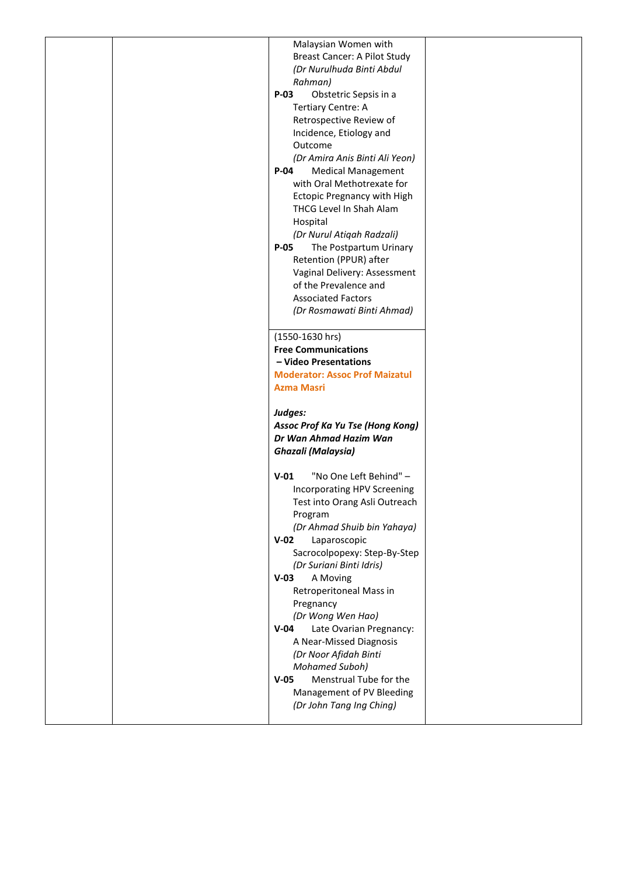| Malaysian Women with                  |  |
|---------------------------------------|--|
| Breast Cancer: A Pilot Study          |  |
| (Dr Nurulhuda Binti Abdul             |  |
|                                       |  |
| Rahman)                               |  |
| $P-03$<br>Obstetric Sepsis in a       |  |
| <b>Tertiary Centre: A</b>             |  |
| Retrospective Review of               |  |
| Incidence, Etiology and               |  |
| Outcome                               |  |
| (Dr Amira Anis Binti Ali Yeon)        |  |
|                                       |  |
| $P-04$<br><b>Medical Management</b>   |  |
| with Oral Methotrexate for            |  |
| <b>Ectopic Pregnancy with High</b>    |  |
| THCG Level In Shah Alam               |  |
| Hospital                              |  |
| (Dr Nurul Atiqah Radzali)             |  |
| $P-05$<br>The Postpartum Urinary      |  |
| Retention (PPUR) after                |  |
|                                       |  |
| Vaginal Delivery: Assessment          |  |
| of the Prevalence and                 |  |
| <b>Associated Factors</b>             |  |
| (Dr Rosmawati Binti Ahmad)            |  |
|                                       |  |
| (1550-1630 hrs)                       |  |
| <b>Free Communications</b>            |  |
|                                       |  |
| - Video Presentations                 |  |
| <b>Moderator: Assoc Prof Maizatul</b> |  |
| <b>Azma Masri</b>                     |  |
|                                       |  |
| Judges:                               |  |
| Assoc Prof Ka Yu Tse (Hong Kong)      |  |
| Dr Wan Ahmad Hazim Wan                |  |
| <b>Ghazali</b> (Malaysia)             |  |
|                                       |  |
|                                       |  |
| $V-01$<br>"No One Left Behind" -      |  |
| Incorporating HPV Screening           |  |
| Test into Orang Asli Outreach         |  |
| Program                               |  |
| (Dr Ahmad Shuib bin Yahaya)           |  |
| $V-02$<br>Laparoscopic                |  |
| Sacrocolpopexy: Step-By-Step          |  |
|                                       |  |
| (Dr Suriani Binti Idris)              |  |
| $V-03$<br>A Moving                    |  |
| Retroperitoneal Mass in               |  |
| Pregnancy                             |  |
| (Dr Wong Wen Hao)                     |  |
| $V-04$<br>Late Ovarian Pregnancy:     |  |
| A Near-Missed Diagnosis               |  |
| (Dr Noor Afidah Binti                 |  |
|                                       |  |
| <b>Mohamed Suboh)</b>                 |  |
|                                       |  |
| Menstrual Tube for the<br>$V-05$      |  |
| Management of PV Bleeding             |  |
| (Dr John Tang Ing Ching)              |  |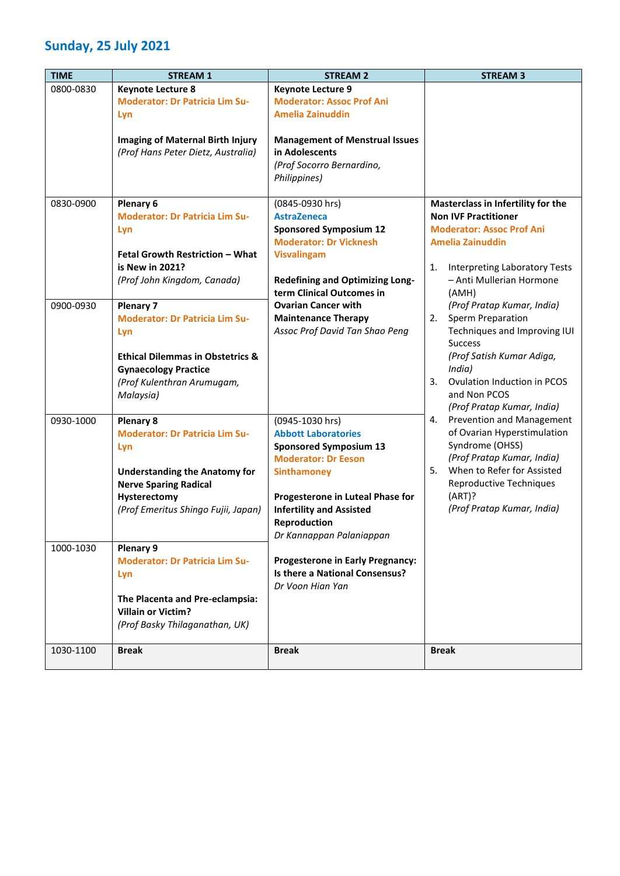#### **Sunday, 25 July 2021**

| <b>TIME</b> | <b>STREAM 1</b>                                             | <b>STREAM 2</b>                                                     | <b>STREAM 3</b>                               |
|-------------|-------------------------------------------------------------|---------------------------------------------------------------------|-----------------------------------------------|
| 0800-0830   | <b>Keynote Lecture 8</b>                                    | <b>Keynote Lecture 9</b>                                            |                                               |
|             | <b>Moderator: Dr Patricia Lim Su-</b>                       | <b>Moderator: Assoc Prof Ani</b>                                    |                                               |
|             | Lyn                                                         | <b>Amelia Zainuddin</b>                                             |                                               |
|             | <b>Imaging of Maternal Birth Injury</b>                     | <b>Management of Menstrual Issues</b>                               |                                               |
|             | (Prof Hans Peter Dietz, Australia)                          | in Adolescents                                                      |                                               |
|             |                                                             | (Prof Socorro Bernardino,                                           |                                               |
|             |                                                             | Philippines)                                                        |                                               |
| 0830-0900   | Plenary 6                                                   | (0845-0930 hrs)                                                     | Masterclass in Infertility for the            |
|             | <b>Moderator: Dr Patricia Lim Su-</b>                       | <b>AstraZeneca</b>                                                  | <b>Non IVF Practitioner</b>                   |
|             | Lyn                                                         | <b>Sponsored Symposium 12</b>                                       | <b>Moderator: Assoc Prof Ani</b>              |
|             |                                                             | <b>Moderator: Dr Vicknesh</b>                                       | <b>Amelia Zainuddin</b>                       |
|             | <b>Fetal Growth Restriction - What</b>                      | <b>Visvalingam</b>                                                  |                                               |
|             | is New in 2021?                                             |                                                                     | Interpreting Laboratory Tests<br>1.           |
|             | (Prof John Kingdom, Canada)                                 | <b>Redefining and Optimizing Long-</b><br>term Clinical Outcomes in | - Anti Mullerian Hormone                      |
| 0900-0930   | <b>Plenary 7</b>                                            | <b>Ovarian Cancer with</b>                                          | (AMH)<br>(Prof Pratap Kumar, India)           |
|             | <b>Moderator: Dr Patricia Lim Su-</b>                       | <b>Maintenance Therapy</b>                                          | <b>Sperm Preparation</b><br>2.                |
|             | Lyn                                                         | Assoc Prof David Tan Shao Peng                                      | Techniques and Improving IUI                  |
|             |                                                             |                                                                     | <b>Success</b>                                |
|             | <b>Ethical Dilemmas in Obstetrics &amp;</b>                 |                                                                     | (Prof Satish Kumar Adiga,                     |
|             | <b>Gynaecology Practice</b>                                 |                                                                     | India)                                        |
|             | (Prof Kulenthran Arumugam,                                  |                                                                     | Ovulation Induction in PCOS<br>3.             |
|             | Malaysia)                                                   |                                                                     | and Non PCOS                                  |
|             |                                                             |                                                                     | (Prof Pratap Kumar, India)                    |
| 0930-1000   | <b>Plenary 8</b>                                            | (0945-1030 hrs)                                                     | Prevention and Management<br>4.               |
|             | <b>Moderator: Dr Patricia Lim Su-</b>                       | <b>Abbott Laboratories</b>                                          | of Ovarian Hyperstimulation                   |
|             | Lyn                                                         | <b>Sponsored Symposium 13</b>                                       | Syndrome (OHSS)<br>(Prof Pratap Kumar, India) |
|             | <b>Understanding the Anatomy for</b>                        | <b>Moderator: Dr Eeson</b><br><b>Sinthamoney</b>                    | When to Refer for Assisted<br>5.              |
|             | <b>Nerve Sparing Radical</b>                                |                                                                     | Reproductive Techniques                       |
|             | Hysterectomy                                                | Progesterone in Luteal Phase for                                    | (ART)?                                        |
|             | (Prof Emeritus Shingo Fujii, Japan)                         | <b>Infertility and Assisted</b>                                     | (Prof Pratap Kumar, India)                    |
|             |                                                             | Reproduction                                                        |                                               |
|             |                                                             | Dr Kannappan Palaniappan                                            |                                               |
| 1000-1030   | Plenary 9                                                   |                                                                     |                                               |
|             | <b>Moderator: Dr Patricia Lim Su-</b>                       | <b>Progesterone in Early Pregnancy:</b>                             |                                               |
|             | Lyn                                                         | Is there a National Consensus?                                      |                                               |
|             |                                                             | Dr Voon Hian Yan                                                    |                                               |
|             | The Placenta and Pre-eclampsia:                             |                                                                     |                                               |
|             | <b>Villain or Victim?</b><br>(Prof Basky Thilaganathan, UK) |                                                                     |                                               |
|             |                                                             |                                                                     |                                               |
| 1030-1100   | <b>Break</b>                                                | <b>Break</b>                                                        | <b>Break</b>                                  |
|             |                                                             |                                                                     |                                               |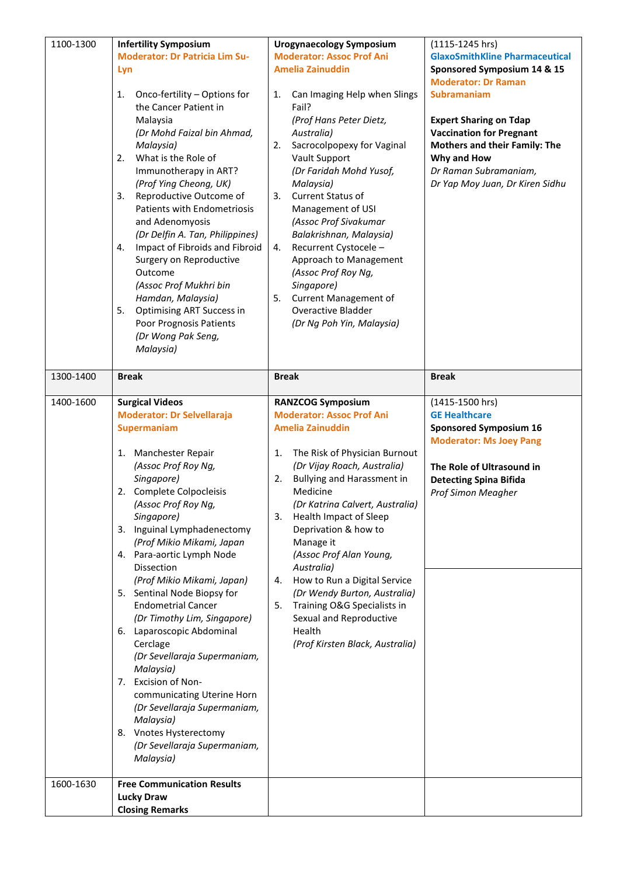| 1100-1300              | <b>Infertility Symposium</b><br><b>Moderator: Dr Patricia Lim Su-</b><br>Lyn<br>Onco-fertility - Options for<br>1.<br>the Cancer Patient in<br>Malaysia<br>(Dr Mohd Faizal bin Ahmad,<br>Malaysia)<br>2.<br>What is the Role of<br>Immunotherapy in ART?<br>(Prof Ying Cheong, UK)<br>3.<br>Reproductive Outcome of<br><b>Patients with Endometriosis</b><br>and Adenomyosis<br>(Dr Delfin A. Tan, Philippines)<br>Impact of Fibroids and Fibroid<br>4.<br>Surgery on Reproductive<br>Outcome<br>(Assoc Prof Mukhri bin<br>Hamdan, Malaysia)<br>5.<br><b>Optimising ART Success in</b><br>Poor Prognosis Patients<br>(Dr Wong Pak Seng,<br>Malaysia)                                                                                                | <b>Urogynaecology Symposium</b><br><b>Moderator: Assoc Prof Ani</b><br><b>Amelia Zainuddin</b><br>Can Imaging Help when Slings<br>1.<br>Fail?<br>(Prof Hans Peter Dietz,<br>Australia)<br>Sacrocolpopexy for Vaginal<br>2.<br>Vault Support<br>(Dr Faridah Mohd Yusof,<br>Malaysia)<br>3.<br><b>Current Status of</b><br>Management of USI<br>(Assoc Prof Sivakumar<br>Balakrishnan, Malaysia)<br>Recurrent Cystocele -<br>4.<br>Approach to Management<br>(Assoc Prof Roy Ng,<br>Singapore)<br><b>Current Management of</b><br>5.<br><b>Overactive Bladder</b><br>(Dr Ng Poh Yin, Malaysia) | $(1115 - 1245)$ hrs)<br><b>GlaxoSmithKline Pharmaceutical</b><br>Sponsored Symposium 14 & 15<br><b>Moderator: Dr Raman</b><br><b>Subramaniam</b><br><b>Expert Sharing on Tdap</b><br><b>Vaccination for Pregnant</b><br><b>Mothers and their Family: The</b><br>Why and How<br>Dr Raman Subramaniam,<br>Dr Yap Moy Juan, Dr Kiren Sidhu |
|------------------------|-----------------------------------------------------------------------------------------------------------------------------------------------------------------------------------------------------------------------------------------------------------------------------------------------------------------------------------------------------------------------------------------------------------------------------------------------------------------------------------------------------------------------------------------------------------------------------------------------------------------------------------------------------------------------------------------------------------------------------------------------------|----------------------------------------------------------------------------------------------------------------------------------------------------------------------------------------------------------------------------------------------------------------------------------------------------------------------------------------------------------------------------------------------------------------------------------------------------------------------------------------------------------------------------------------------------------------------------------------------|-----------------------------------------------------------------------------------------------------------------------------------------------------------------------------------------------------------------------------------------------------------------------------------------------------------------------------------------|
| 1300-1400              | <b>Break</b>                                                                                                                                                                                                                                                                                                                                                                                                                                                                                                                                                                                                                                                                                                                                        | <b>Break</b>                                                                                                                                                                                                                                                                                                                                                                                                                                                                                                                                                                                 | <b>Break</b>                                                                                                                                                                                                                                                                                                                            |
| 1400-1600<br>1600-1630 | <b>Surgical Videos</b><br><b>Moderator: Dr Selvellaraja</b><br>Supermaniam<br>1. Manchester Repair<br>(Assoc Prof Roy Ng,<br>Singapore)<br>2. Complete Colpocleisis<br>(Assoc Prof Roy Ng,<br>Singapore)<br>3. Inguinal Lymphadenectomy<br>(Prof Mikio Mikami, Japan<br>4. Para-aortic Lymph Node<br><b>Dissection</b><br>(Prof Mikio Mikami, Japan)<br>5. Sentinal Node Biopsy for<br><b>Endometrial Cancer</b><br>(Dr Timothy Lim, Singapore)<br>6. Laparoscopic Abdominal<br>Cerclage<br>(Dr Sevellaraja Supermaniam,<br>Malaysia)<br>7. Excision of Non-<br>communicating Uterine Horn<br>(Dr Sevellaraja Supermaniam,<br>Malaysia)<br>8. Vnotes Hysterectomy<br>(Dr Sevellaraja Supermaniam,<br>Malaysia)<br><b>Free Communication Results</b> | <b>RANZCOG Symposium</b><br><b>Moderator: Assoc Prof Ani</b><br><b>Amelia Zainuddin</b><br>1.<br>The Risk of Physician Burnout<br>(Dr Vijay Roach, Australia)<br>Bullying and Harassment in<br>2.<br>Medicine<br>(Dr Katrina Calvert, Australia)<br>3.<br>Health Impact of Sleep<br>Deprivation & how to<br>Manage it<br>(Assoc Prof Alan Young,<br>Australia)<br>How to Run a Digital Service<br>4.<br>(Dr Wendy Burton, Australia)<br>Training O&G Specialists in<br>5.<br>Sexual and Reproductive<br>Health<br>(Prof Kirsten Black, Australia)                                            | (1415-1500 hrs)<br><b>GE Healthcare</b><br><b>Sponsored Symposium 16</b><br><b>Moderator: Ms Joey Pang</b><br>The Role of Ultrasound in<br><b>Detecting Spina Bifida</b><br>Prof Simon Meagher                                                                                                                                          |
|                        | <b>Lucky Draw</b><br><b>Closing Remarks</b>                                                                                                                                                                                                                                                                                                                                                                                                                                                                                                                                                                                                                                                                                                         |                                                                                                                                                                                                                                                                                                                                                                                                                                                                                                                                                                                              |                                                                                                                                                                                                                                                                                                                                         |